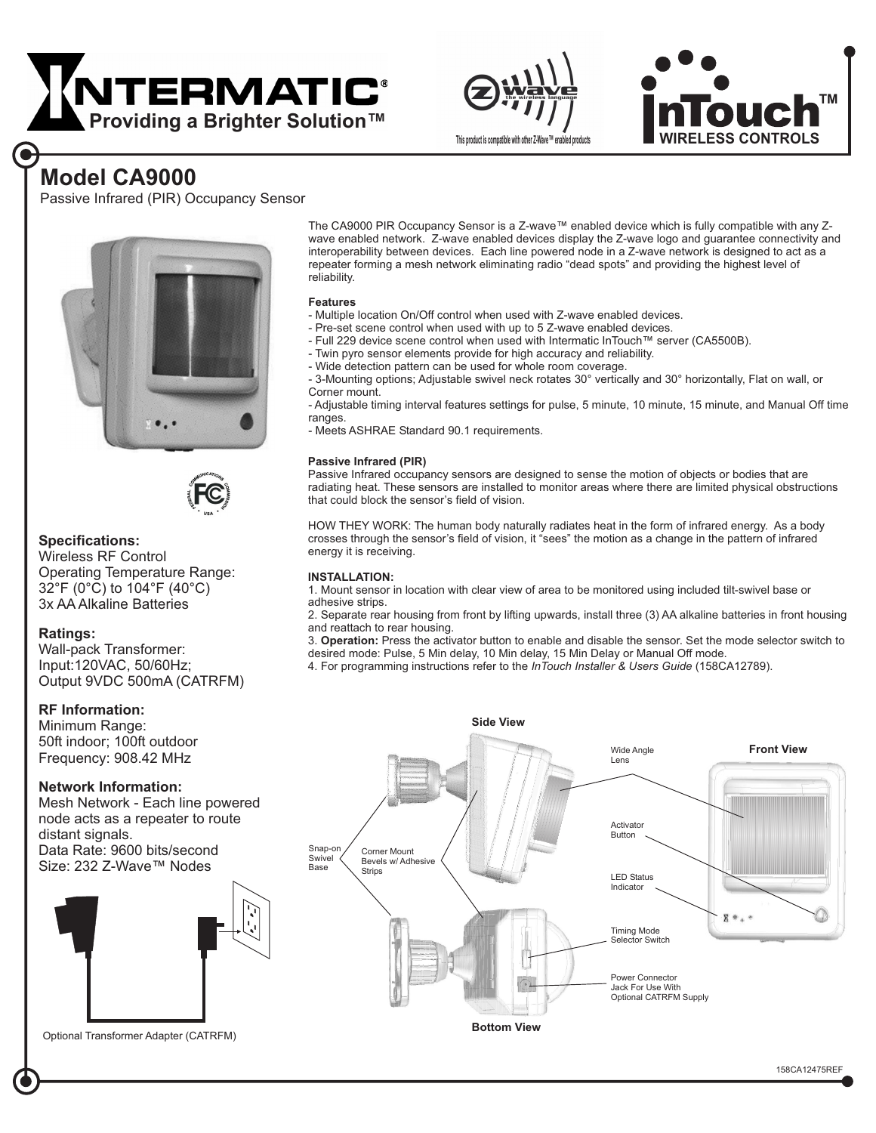





# **Model CA9000**

Passive Infrared (PIR) Occupancy Sensor





### **Specifications:**

Wireless RF Control Operating Temperature Range: 32°F (0°C) to 104°F (40°C) 3x AA Alkaline Batteries

### **Ratings:**

Wall-pack Transformer: Input:120VAC, 50/60Hz; Output 9VDC 500mA (CATRFM)

# **RF Information:**

Frequency: 908.42 MHz Minimum Range: 50ft indoor; 100ft outdoor

## **Network Information:**

Mesh Network - Each line powered node acts as a repeater to route distant signals. Data Rate: 9600 bits/second Size: 232 Z-Wave™ Nodes



Optional Transformer Adapter (CATRFM)

The CA9000 PIR Occupancy Sensor is a Z-wave™ enabled device which is fully compatible with any Zwave enabled network. Z-wave enabled devices display the Z-wave logo and guarantee connectivity and interoperability between devices. Each line powered node in a Z-wave network is designed to act as a repeater forming a mesh network eliminating radio "dead spots" and providing the highest level of reliability.

#### **Features**

- Multiple location On/Off control when used with Z-wave enabled devices.
- Pre-set scene control when used with up to 5 Z-wave enabled devices.
- Full 229 device scene control when used with Intermatic InTouch™ server (CA5500B).
- Twin pyro sensor elements provide for high accuracy and reliability.
- Wide detection pattern can be used for whole room coverage.

- 3-Mounting options; Adjustable swivel neck rotates 30° vertically and 30° horizontally, Flat on wall, or Corner mount.

- Adjustable timing interval features settings for pulse, 5 minute, 10 minute, 15 minute, and Manual Off time ranges.

- Meets ASHRAE Standard 90.1 requirements.

#### **Passive Infrared (PIR)**

Passive Infrared occupancy sensors are designed to sense the motion of objects or bodies that are radiating heat. These sensors are installed to monitor areas where there are limited physical obstructions that could block the sensor's field of vision.

HOW THEY WORK: The human body naturally radiates heat in the form of infrared energy. As a body crosses through the sensor's field of vision, it "sees" the motion as a change in the pattern of infrared energy it is receiving.

#### **INSTALLATION:**

1. Mount sensor in location with clear view of area to be monitored using included tilt-swivel base or adhesive strips.

2. Separate rear housing from front by lifting upwards, install three (3) AA alkaline batteries in front housing and reattach to rear housing.

3. **Operation:** Press the activator button to enable and disable the sensor. Set the mode selector switch to desired mode: Pulse, 5 Min delay, 10 Min delay, 15 Min Delay or Manual Off mode.

4. For programming instructions refer to the InTouch Installer & Users Guide (158CA12789).